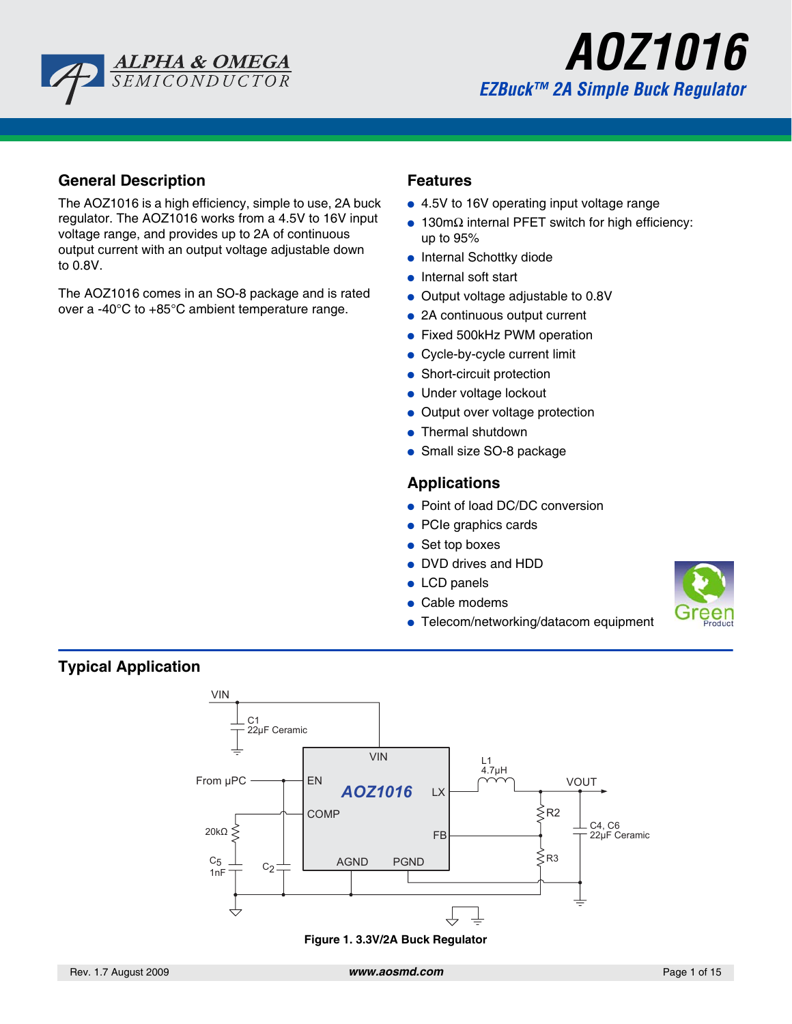



### **General Description**

The AOZ1016 is a high efficiency, simple to use, 2A buck regulator. The AOZ1016 works from a 4.5V to 16V input voltage range, and provides up to 2A of continuous output current with an output voltage adjustable down to 0.8V.

The AOZ1016 comes in an SO-8 package and is rated over a -40°C to +85°C ambient temperature range.

#### **Features**

- 4.5V to 16V operating input voltage range
- $\bullet$  130mΩ internal PFET switch for high efficiency: up to 95%
- Internal Schottky diode
- Internal soft start
- Output voltage adjustable to 0.8V
- 2A continuous output current
- Fixed 500kHz PWM operation
- Cycle-by-cycle current limit
- Short-circuit protection
- Under voltage lockout
- Output over voltage protection
- Thermal shutdown
- Small size SO-8 package

### **Applications**

- Point of load DC/DC conversion
- PCIe graphics cards
- Set top boxes
- DVD drives and HDD
- LCD panels
- Cable modems
- Telecom/networking/datacom equipment



### **Typical Application**



**Figure 1. 3.3V/2A Buck Regulator**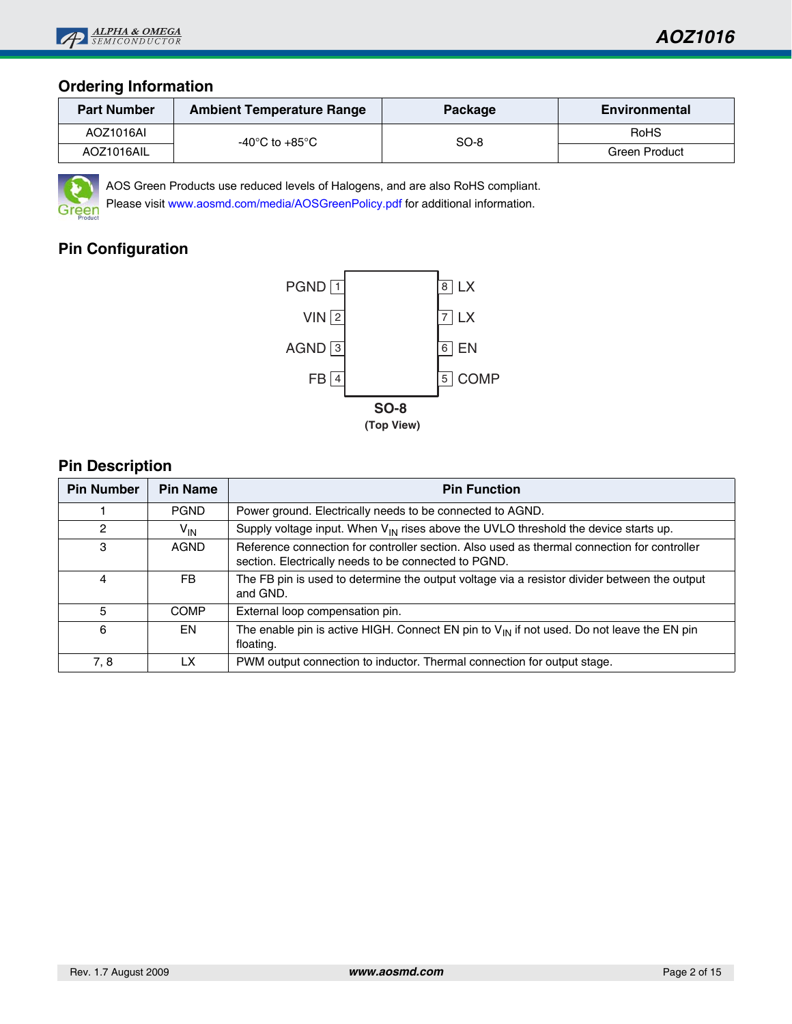

### **Ordering Information**

| <b>Part Number</b> | <b>Ambient Temperature Range</b> | <b>Package</b> | <b>Environmental</b> |
|--------------------|----------------------------------|----------------|----------------------|
| AOZ1016AI          | -40°C to +85°C                   | SO-8           | <b>RoHS</b>          |
| AOZ1016AIL         |                                  |                | Green Product        |



AOS Green Products use reduced levels of Halogens, and are also RoHS compliant.

Please visit <www.aosmd.com/media/AOSGreenPolicy.pdf> for additional information.

# **Pin Configuration**



## **Pin Description**

| <b>Pin Number</b> | <b>Pin Name</b> | <b>Pin Function</b>                                                                                                                                 |
|-------------------|-----------------|-----------------------------------------------------------------------------------------------------------------------------------------------------|
|                   | <b>PGND</b>     | Power ground. Electrically needs to be connected to AGND.                                                                                           |
| $\mathcal{P}$     | $V_{IN}$        | Supply voltage input. When $V_{IN}$ rises above the UVLO threshold the device starts up.                                                            |
| 3                 | <b>AGND</b>     | Reference connection for controller section. Also used as thermal connection for controller<br>section. Electrically needs to be connected to PGND. |
| 4                 | FB.             | The FB pin is used to determine the output voltage via a resistor divider between the output<br>and GND.                                            |
| 5                 | <b>COMP</b>     | External loop compensation pin.                                                                                                                     |
| 6                 | EN              | The enable pin is active HIGH. Connect EN pin to $V_{\text{IN}}$ if not used. Do not leave the EN pin<br>floating.                                  |
| 7, 8              | LX              | PWM output connection to inductor. Thermal connection for output stage.                                                                             |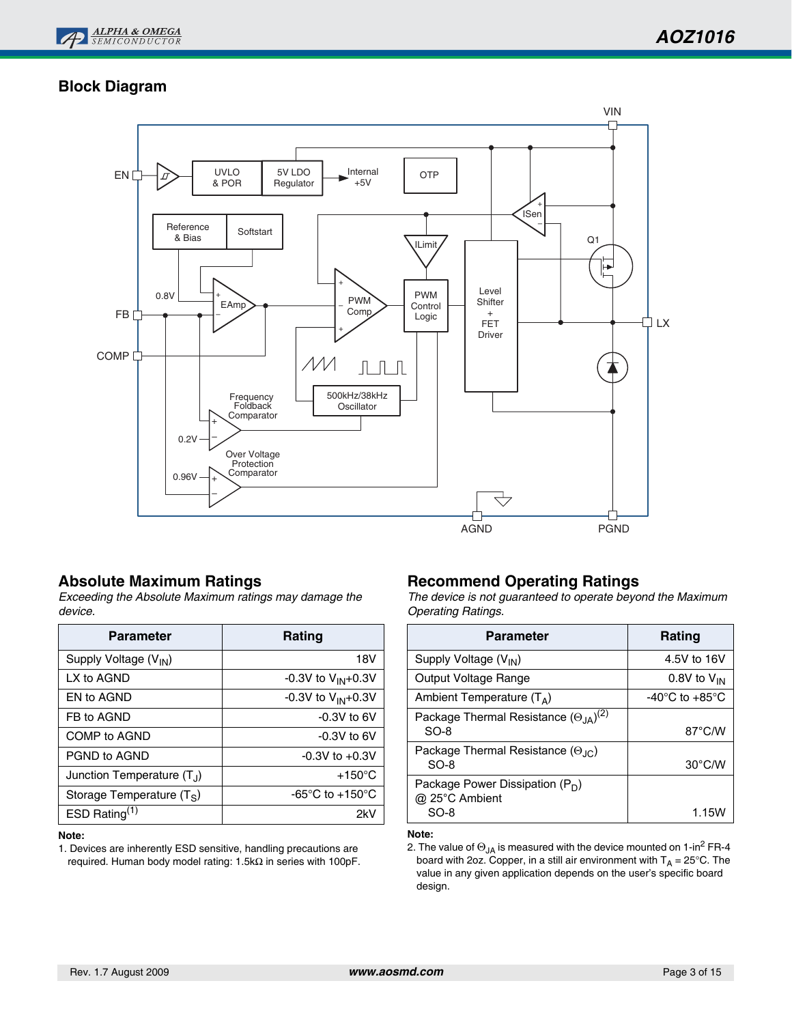

# **Block Diagram**



### **Absolute Maximum Ratings**

*Exceeding the Absolute Maximum ratings may damage the device.*

| <b>Parameter</b>             | Rating                              |
|------------------------------|-------------------------------------|
| Supply Voltage $(V_{IN})$    | 18V                                 |
| LX to AGND                   | -0.3V to $V_{IN}$ +0.3V             |
| EN to AGND                   | -0.3V to $V_{IN}$ +0.3V             |
| FB to AGND                   | $-0.3V$ to 6V                       |
| COMP to AGND                 | $-0.3V$ to 6V                       |
| PGND to AGND                 | $-0.3V$ to $+0.3V$                  |
| Junction Temperature $(T_1)$ | $+150^{\circ}$ C                    |
| Storage Temperature $(T_S)$  | -65 $\degree$ C to +150 $\degree$ C |
| ESD Rating $(1)$             | 2kV                                 |

#### **Note:**

1. Devices are inherently ESD sensitive, handling precautions are required. Human body model rating: 1.5kΩ in series with 100pF.

### **Recommend Operating Ratings**

*The device is not guaranteed to operate beyond the Maximum Operating Ratings.*

| Rating                               |
|--------------------------------------|
| 4.5V to 16V                          |
| 0.8V to $V_{IN}$                     |
| -40 $^{\circ}$ C to +85 $^{\circ}$ C |
| 87°C/W                               |
| $30^{\circ}$ C/W                     |
| 1.15V                                |
|                                      |

#### **Note:**

2. The value of  $\Theta_{JA}$  is measured with the device mounted on 1-in<sup>2</sup> FR-4 board with 2oz. Copper, in a still air environment with  $T_A = 25^{\circ}$ C. The value in any given application depends on the user's specific board design.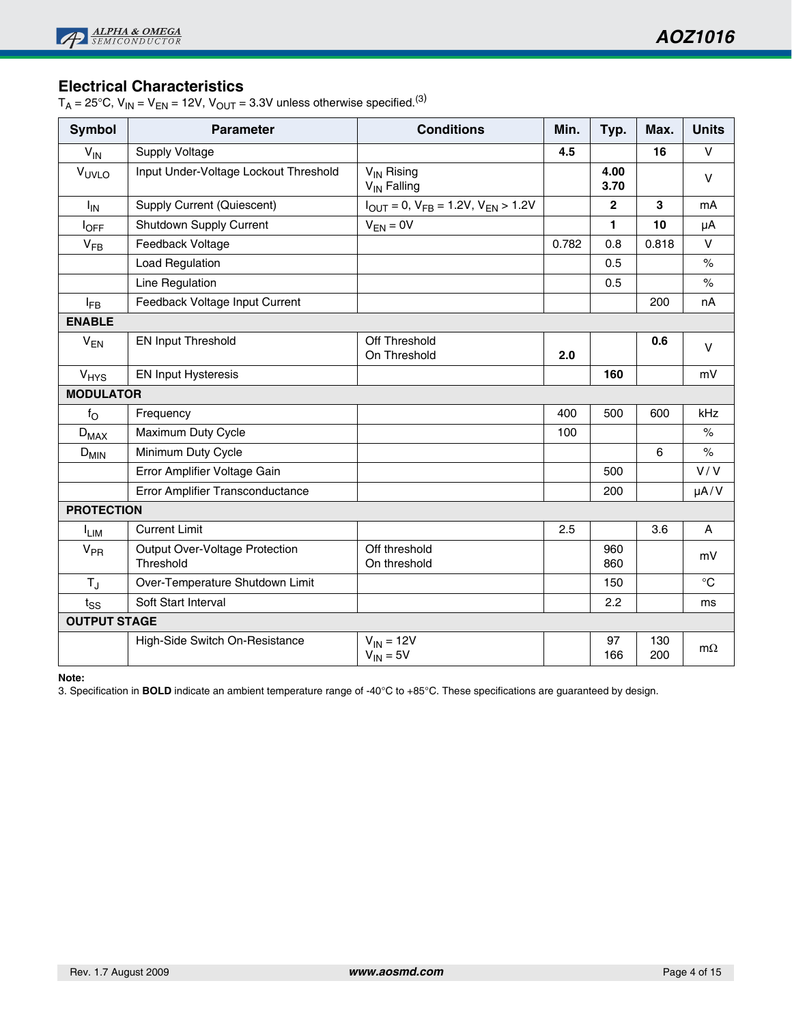## **Electrical Characteristics**

 $T_A = 25^{\circ}$ C,  $V_{IN} = V_{EN} = 12V$ ,  $V_{OUT} = 3.3V$  unless otherwise specified.<sup>(3)</sup>

| <b>Symbol</b>       | <b>Parameter</b>                            | <b>Conditions</b><br>Min.<br>Typ.<br>Max.         |       |                |            |             |
|---------------------|---------------------------------------------|---------------------------------------------------|-------|----------------|------------|-------------|
| $V_{IN}$            | Supply Voltage                              |                                                   | 4.5   |                | 16         | $\vee$      |
| VUVLO               | Input Under-Voltage Lockout Threshold       | V <sub>IN</sub> Rising<br>V <sub>IN</sub> Falling |       | 4.00<br>3.70   |            | $\vee$      |
| $I_{IN}$            | <b>Supply Current (Quiescent)</b>           | $I_{OUT} = 0$ , $V_{FB} = 1.2V$ , $V_{EN} > 1.2V$ |       | $\overline{2}$ | 3          | mA          |
| $I_{\mathsf{OFF}}$  | Shutdown Supply Current                     | $V_{EN} = 0V$                                     |       | 1              | 10         | μA          |
| $V_{FB}$            | Feedback Voltage                            |                                                   | 0.782 | 0.8            | 0.818      | $\vee$      |
|                     | Load Regulation                             |                                                   |       | 0.5            |            | $\%$        |
|                     | Line Regulation                             |                                                   |       | 0.5            |            | $\%$        |
| $I_{FB}$            | Feedback Voltage Input Current              |                                                   |       |                | 200        | nA          |
| <b>ENABLE</b>       |                                             |                                                   |       |                |            |             |
| $V_{EN}$            | <b>EN Input Threshold</b>                   | Off Threshold<br>On Threshold                     | 2.0   |                | 0.6        | $\vee$      |
| V <sub>HYS</sub>    | <b>EN Input Hysteresis</b>                  |                                                   |       | 160            |            | mV          |
| <b>MODULATOR</b>    |                                             |                                                   |       |                |            |             |
| $f_{\rm O}$         | Frequency                                   |                                                   | 400   | 500            | 600        | kHz         |
| $D_{MAX}$           | Maximum Duty Cycle                          |                                                   | 100   |                |            | $\%$        |
| $D_{MIN}$           | Minimum Duty Cycle                          |                                                   |       |                | 6          | $\%$        |
|                     | Error Amplifier Voltage Gain                |                                                   |       | 500            |            | V/V         |
|                     | Error Amplifier Transconductance            |                                                   |       | 200            |            | $\mu A/V$   |
| <b>PROTECTION</b>   |                                             |                                                   |       |                |            |             |
| <sup>I</sup> LIM    | <b>Current Limit</b>                        |                                                   | 2.5   |                | 3.6        | A           |
| $V_{PR}$            | Output Over-Voltage Protection<br>Threshold | Off threshold<br>On threshold                     |       | 960<br>860     |            | mV          |
| $T_{\rm J}$         | Over-Temperature Shutdown Limit             |                                                   |       | 150            |            | $^{\circ}C$ |
| $t_{SS}$            | Soft Start Interval                         |                                                   |       | 2.2            |            | ms          |
| <b>OUTPUT STAGE</b> |                                             |                                                   |       |                |            |             |
|                     | High-Side Switch On-Resistance              | $V_{IN} = 12V$<br>$V_{IN} = 5V$                   |       | 97<br>166      | 130<br>200 | $m\Omega$   |

**Note:**

3. Specification in **BOLD** indicate an ambient temperature range of -40°C to +85°C. These specifications are guaranteed by design.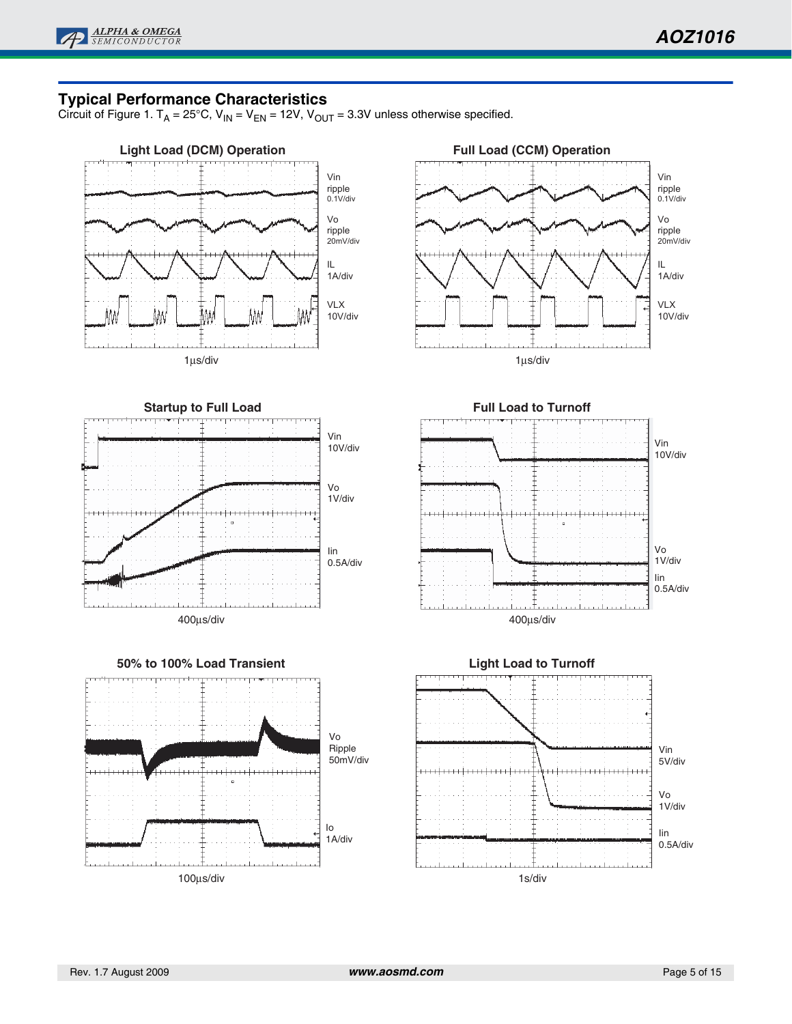

### **Typical Performance Characteristics**

Circuit of Figure 1. T<sub>A</sub> = 25°C, V<sub>IN</sub> = V<sub>EN</sub> = 12V, V<sub>OUT</sub> = 3.3V unless otherwise specified.

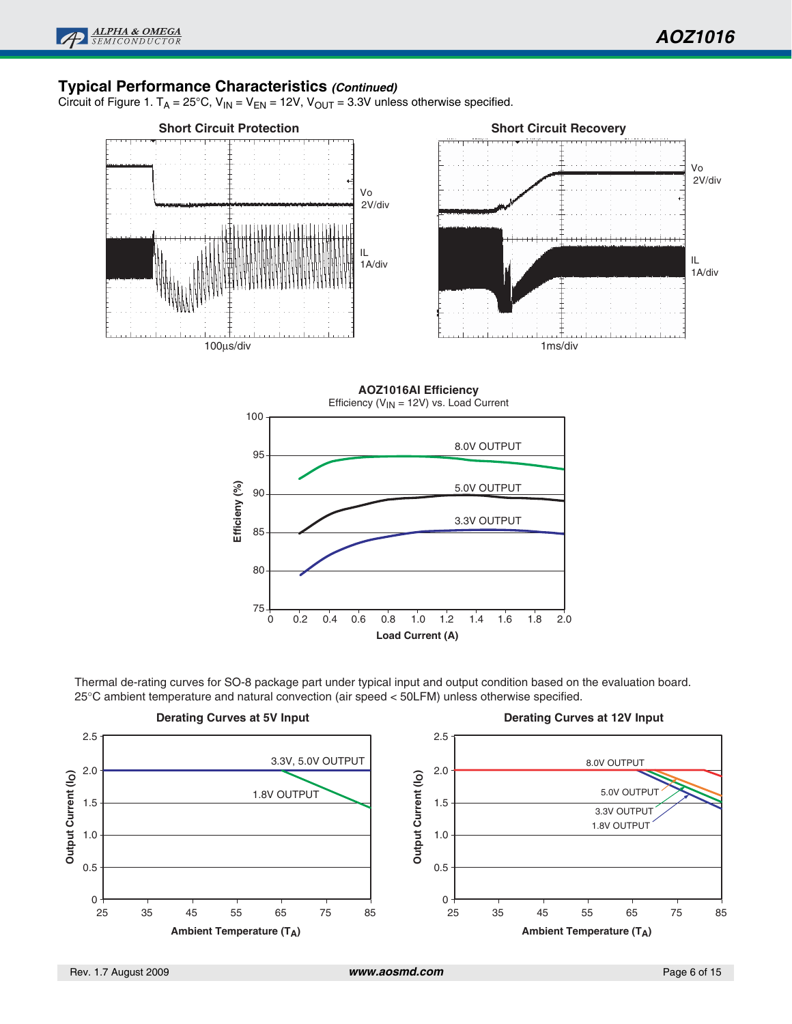### **Typical Performance Characteristics** *(Continued)*

Circuit of Figure 1. T<sub>A</sub> = 25°C,  $V_{IN} = V_{EN} = 12V$ ,  $V_{OUT} = 3.3V$  unless otherwise specified.





Thermal de-rating curves for SO-8 package part under typical input and output condition based on the evaluation board. 25°C ambient temperature and natural convection (air speed < 50LFM) unless otherwise specified.

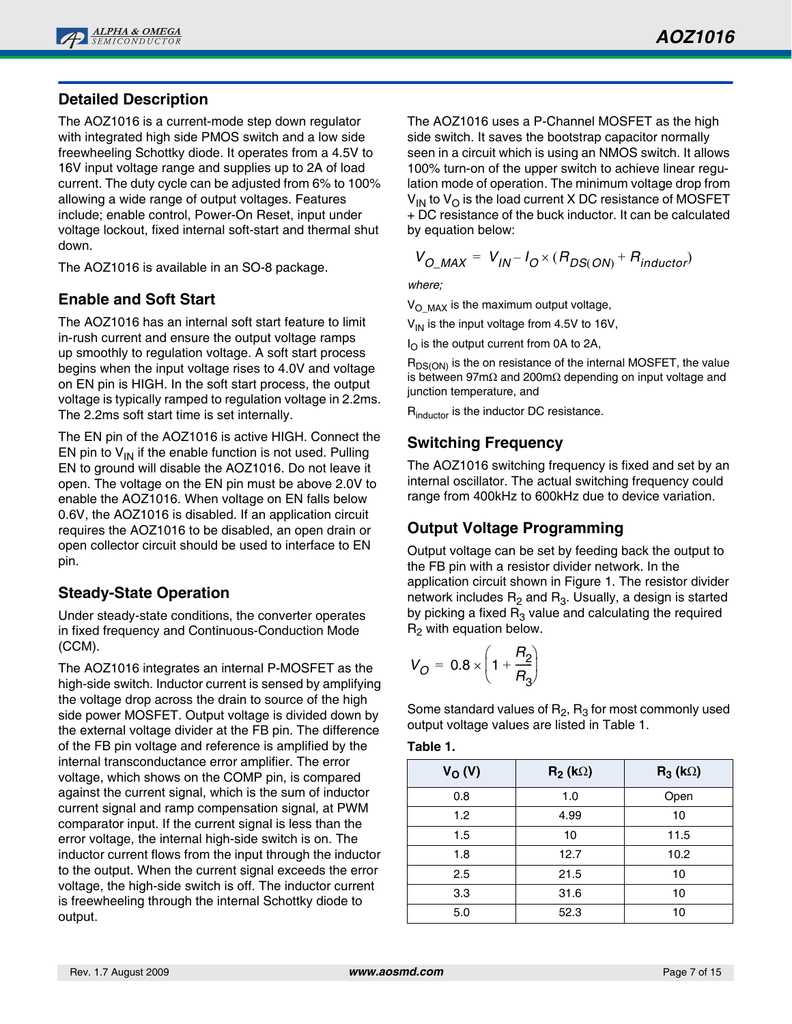# **Detailed Description**

The AOZ1016 is a current-mode step down regulator with integrated high side PMOS switch and a low side freewheeling Schottky diode. It operates from a 4.5V to 16V input voltage range and supplies up to 2A of load current. The duty cycle can be adjusted from 6% to 100% allowing a wide range of output voltages. Features include; enable control, Power-On Reset, input under voltage lockout, fixed internal soft-start and thermal shut down.

The AOZ1016 is available in an SO-8 package.

# **Enable and Soft Start**

The AOZ1016 has an internal soft start feature to limit in-rush current and ensure the output voltage ramps up smoothly to regulation voltage. A soft start process begins when the input voltage rises to 4.0V and voltage on EN pin is HIGH. In the soft start process, the output voltage is typically ramped to regulation voltage in 2.2ms. The 2.2ms soft start time is set internally.

The EN pin of the AOZ1016 is active HIGH. Connect the EN pin to  $V_{1N}$  if the enable function is not used. Pulling EN to ground will disable the AOZ1016. Do not leave it open. The voltage on the EN pin must be above 2.0V to enable the AOZ1016. When voltage on EN falls below 0.6V, the AOZ1016 is disabled. If an application circuit requires the AOZ1016 to be disabled, an open drain or open collector circuit should be used to interface to EN pin.

### **Steady-State Operation**

Under steady-state conditions, the converter operates in fixed frequency and Continuous-Conduction Mode (CCM).

The AOZ1016 integrates an internal P-MOSFET as the high-side switch. Inductor current is sensed by amplifying the voltage drop across the drain to source of the high side power MOSFET. Output voltage is divided down by the external voltage divider at the FB pin. The difference of the FB pin voltage and reference is amplified by the internal transconductance error amplifier. The error voltage, which shows on the COMP pin, is compared against the current signal, which is the sum of inductor current signal and ramp compensation signal, at PWM comparator input. If the current signal is less than the error voltage, the internal high-side switch is on. The inductor current flows from the input through the inductor to the output. When the current signal exceeds the error voltage, the high-side switch is off. The inductor current is freewheeling through the internal Schottky diode to output.

The AOZ1016 uses a P-Channel MOSFET as the high side switch. It saves the bootstrap capacitor normally seen in a circuit which is using an NMOS switch. It allows 100% turn-on of the upper switch to achieve linear regulation mode of operation. The minimum voltage drop from  $V_{1N}$  to  $V_{O}$  is the load current X DC resistance of MOSFET + DC resistance of the buck inductor. It can be calculated by equation below:

$$
V_{O\_MAX} = V_{IN} - I_{O} \times (R_{DS(ON)} + R_{inductor})
$$

*where;*

 $V_{\text{O}~\text{MAX}}$  is the maximum output voltage,

 $V_{IN}$  is the input voltage from 4.5V to 16V,

 $I_{\Omega}$  is the output current from 0A to 2A,

 $R_{DS(ON)}$  is the on resistance of the internal MOSFET, the value is between 97m $\Omega$  and 200m $\Omega$  depending on input voltage and junction temperature, and

R<sub>inductor</sub> is the inductor DC resistance.

## **Switching Frequency**

The AOZ1016 switching frequency is fixed and set by an internal oscillator. The actual switching frequency could range from 400kHz to 600kHz due to device variation.

# **Output Voltage Programming**

Output voltage can be set by feeding back the output to the FB pin with a resistor divider network. In the application circuit shown in Figure 1. The resistor divider network includes  $R_2$  and  $R_3$ . Usually, a design is started by picking a fixed  $R_3$  value and calculating the required  $R<sub>2</sub>$  with equation below.

$$
V_O = 0.8 \times \left(1 + \frac{R_2}{R_3}\right)
$$

Some standard values of  $R_2$ ,  $R_3$  for most commonly used output voltage values are listed in Table 1.

| × | abl |  |
|---|-----|--|
|   |     |  |

| $V_{O}(V)$ | $R_2$ (k $\Omega$ ) | $R_3(k\Omega)$ |
|------------|---------------------|----------------|
| 0.8        | 1.0                 | Open           |
| 1.2        | 4.99                | 10             |
| 1.5        | 10                  | 11.5           |
| 1.8        | 12.7                | 10.2           |
| 2.5        | 21.5                | 10             |
| 3.3        | 31.6                | 10             |
| 5.0        | 52.3                | 10             |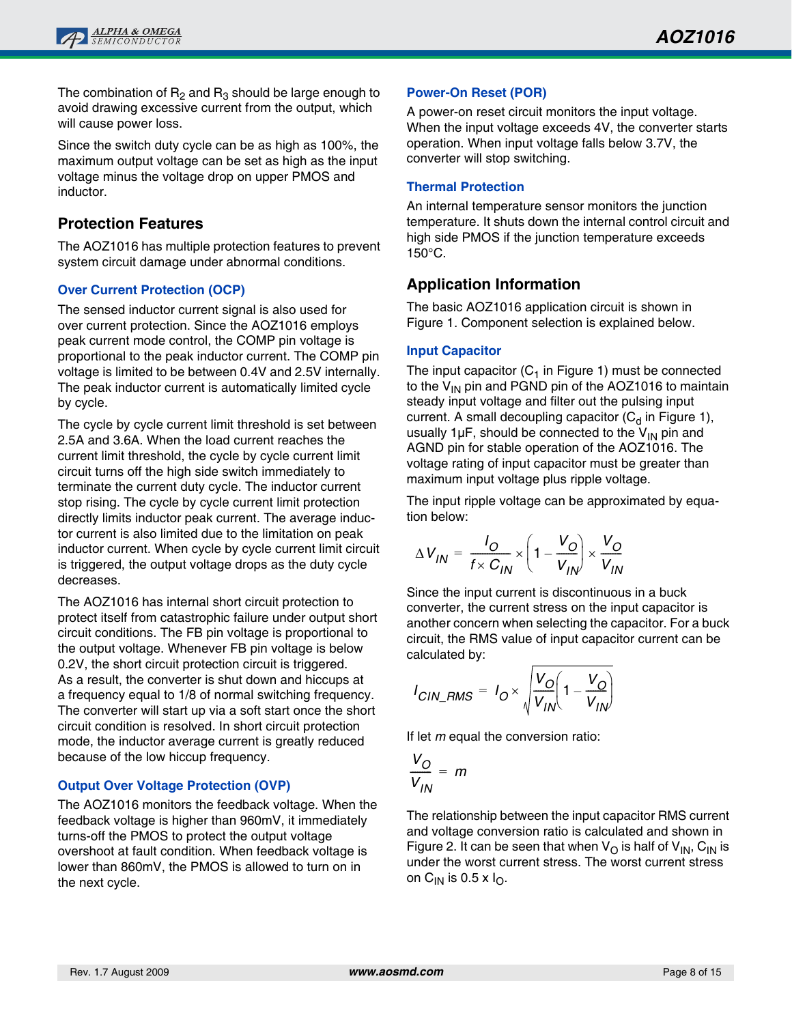The combination of  $R_2$  and  $R_3$  should be large enough to avoid drawing excessive current from the output, which will cause power loss.

Since the switch duty cycle can be as high as 100%, the maximum output voltage can be set as high as the input voltage minus the voltage drop on upper PMOS and inductor.

### **Protection Features**

The AOZ1016 has multiple protection features to prevent system circuit damage under abnormal conditions.

### **Over Current Protection (OCP)**

The sensed inductor current signal is also used for over current protection. Since the AOZ1016 employs peak current mode control, the COMP pin voltage is proportional to the peak inductor current. The COMP pin voltage is limited to be between 0.4V and 2.5V internally. The peak inductor current is automatically limited cycle by cycle.

The cycle by cycle current limit threshold is set between 2.5A and 3.6A. When the load current reaches the current limit threshold, the cycle by cycle current limit circuit turns off the high side switch immediately to terminate the current duty cycle. The inductor current stop rising. The cycle by cycle current limit protection directly limits inductor peak current. The average inductor current is also limited due to the limitation on peak inductor current. When cycle by cycle current limit circuit is triggered, the output voltage drops as the duty cycle decreases.

The AOZ1016 has internal short circuit protection to protect itself from catastrophic failure under output short circuit conditions. The FB pin voltage is proportional to the output voltage. Whenever FB pin voltage is below 0.2V, the short circuit protection circuit is triggered. As a result, the converter is shut down and hiccups at a frequency equal to 1/8 of normal switching frequency. The converter will start up via a soft start once the short circuit condition is resolved. In short circuit protection mode, the inductor average current is greatly reduced because of the low hiccup frequency.

### **Output Over Voltage Protection (OVP)**

The AOZ1016 monitors the feedback voltage. When the feedback voltage is higher than 960mV, it immediately turns-off the PMOS to protect the output voltage overshoot at fault condition. When feedback voltage is lower than 860mV, the PMOS is allowed to turn on in the next cycle.

### **Power-On Reset (POR)**

A power-on reset circuit monitors the input voltage. When the input voltage exceeds 4V, the converter starts operation. When input voltage falls below 3.7V, the converter will stop switching.

#### **Thermal Protection**

An internal temperature sensor monitors the junction temperature. It shuts down the internal control circuit and high side PMOS if the junction temperature exceeds 150°C.

## **Application Information**

The basic AOZ1016 application circuit is shown in Figure 1. Component selection is explained below.

#### **Input Capacitor**

The input capacitor  $(C_1$  in Figure 1) must be connected to the  $V_{IN}$  pin and PGND pin of the AOZ1016 to maintain steady input voltage and filter out the pulsing input current. A small decoupling capacitor  $(C_d$  in Figure 1), usually 1 $\mu$ F, should be connected to the V<sub>IN</sub> pin and AGND pin for stable operation of the AOZ1016. The voltage rating of input capacitor must be greater than maximum input voltage plus ripple voltage.

The input ripple voltage can be approximated by equation below:

$$
\Delta V_{IN} = \frac{I_O}{f \times C_{IN}} \times \left(1 - \frac{V_O}{V_{IN}}\right) \times \frac{V_O}{V_{IN}}
$$

Since the input current is discontinuous in a buck converter, the current stress on the input capacitor is another concern when selecting the capacitor. For a buck circuit, the RMS value of input capacitor current can be calculated by:

$$
I_{CIN\_RMS} = I_O \times \sqrt{\frac{V_O}{V_{IN}} \left(1 - \frac{V_O}{V_{IN}}\right)}
$$

If let *m* equal the conversion ratio:

$$
\frac{V_O}{V_{IN}} = m
$$

The relationship between the input capacitor RMS current and voltage conversion ratio is calculated and shown in Figure 2. It can be seen that when  $V_{\Omega}$  is half of  $V_{\text{IN}}$ ,  $C_{\text{IN}}$  is under the worst current stress. The worst current stress on C<sub>IN</sub> is 0.5 x  $I<sub>O</sub>$ .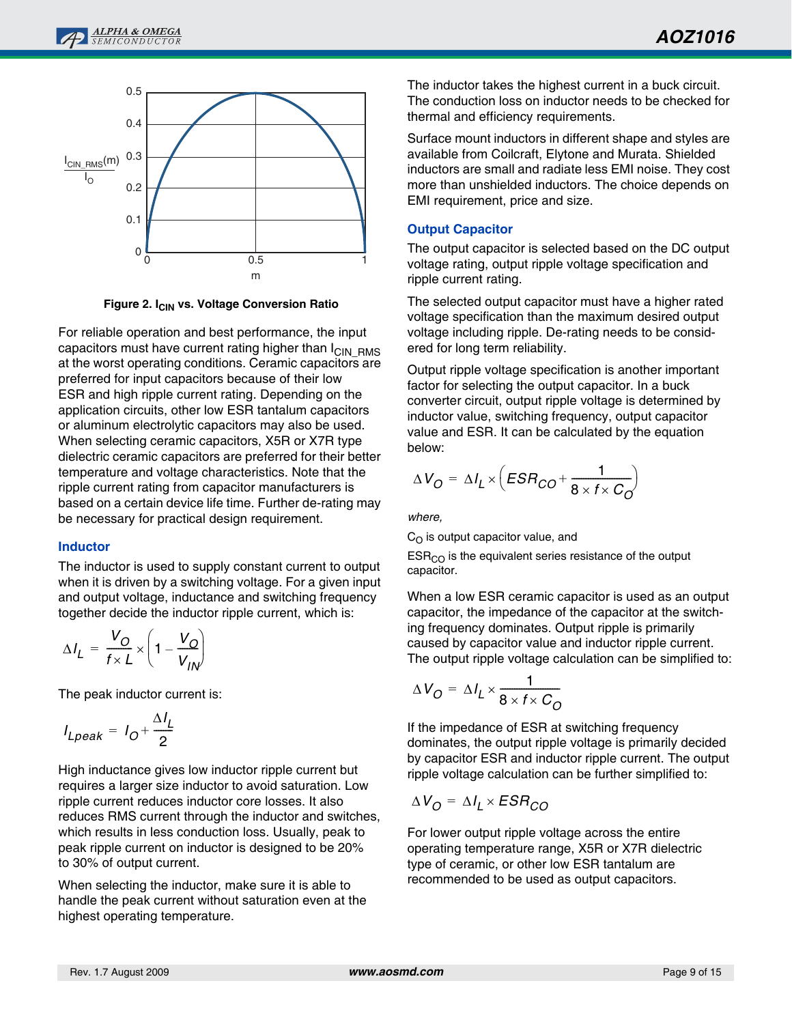

**Figure 2. I<sub>CIN</sub> vs. Voltage Conversion Ratio** 

For reliable operation and best performance, the input capacitors must have current rating higher than I<sub>CIN</sub> RMS at the worst operating conditions. Ceramic capacitors are preferred for input capacitors because of their low ESR and high ripple current rating. Depending on the application circuits, other low ESR tantalum capacitors or aluminum electrolytic capacitors may also be used. When selecting ceramic capacitors, X5R or X7R type dielectric ceramic capacitors are preferred for their better temperature and voltage characteristics. Note that the ripple current rating from capacitor manufacturers is based on a certain device life time. Further de-rating may be necessary for practical design requirement.

#### **Inductor**

The inductor is used to supply constant current to output when it is driven by a switching voltage. For a given input and output voltage, inductance and switching frequency together decide the inductor ripple current, which is:

$$
\Delta I_L = \frac{V_O}{f \times L} \times \left(1 - \frac{V_O}{V_{IN}}\right)
$$

The peak inductor current is:

$$
I_{Lpeak} = I_O + \frac{\Delta I_L}{2}
$$

High inductance gives low inductor ripple current but requires a larger size inductor to avoid saturation. Low ripple current reduces inductor core losses. It also reduces RMS current through the inductor and switches, which results in less conduction loss. Usually, peak to peak ripple current on inductor is designed to be 20% to 30% of output current.

When selecting the inductor, make sure it is able to handle the peak current without saturation even at the highest operating temperature.

The inductor takes the highest current in a buck circuit. The conduction loss on inductor needs to be checked for thermal and efficiency requirements.

Surface mount inductors in different shape and styles are available from Coilcraft, Elytone and Murata. Shielded inductors are small and radiate less EMI noise. They cost more than unshielded inductors. The choice depends on EMI requirement, price and size.

### **Output Capacitor**

The output capacitor is selected based on the DC output voltage rating, output ripple voltage specification and ripple current rating.

The selected output capacitor must have a higher rated voltage specification than the maximum desired output voltage including ripple. De-rating needs to be considered for long term reliability.

Output ripple voltage specification is another important factor for selecting the output capacitor. In a buck converter circuit, output ripple voltage is determined by inductor value, switching frequency, output capacitor value and ESR. It can be calculated by the equation below:

$$
\Delta V_O = \Delta I_L \times \left( ESR_{CO} + \frac{1}{8 \times f \times C_O} \right)
$$

*where,* 

 $C<sub>O</sub>$  is output capacitor value, and

 $ESR<sub>CO</sub>$  is the equivalent series resistance of the output capacitor.

When a low ESR ceramic capacitor is used as an output capacitor, the impedance of the capacitor at the switching frequency dominates. Output ripple is primarily caused by capacitor value and inductor ripple current. The output ripple voltage calculation can be simplified to:

$$
\Delta V_O = \Delta I_L \times \frac{1}{8 \times f \times C_O}
$$

If the impedance of ESR at switching frequency dominates, the output ripple voltage is primarily decided by capacitor ESR and inductor ripple current. The output ripple voltage calculation can be further simplified to:

$$
\Delta V_O = \Delta I_L \times ESR_{CO}
$$

For lower output ripple voltage across the entire operating temperature range, X5R or X7R dielectric type of ceramic, or other low ESR tantalum are recommended to be used as output capacitors.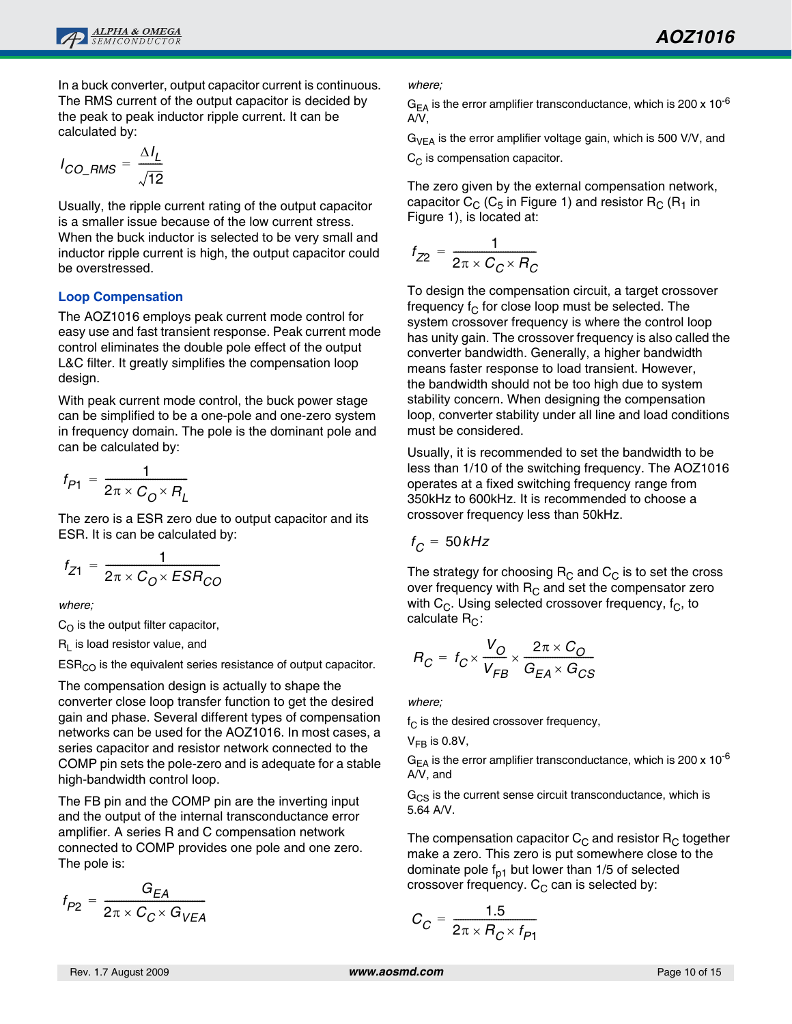

In a buck converter, output capacitor current is continuous. The RMS current of the output capacitor is decided by the peak to peak inductor ripple current. It can be calculated by:

$$
I_{CO\_RMS} = \frac{\Delta I_L}{\sqrt{12}}
$$

Usually, the ripple current rating of the output capacitor is a smaller issue because of the low current stress. When the buck inductor is selected to be very small and inductor ripple current is high, the output capacitor could be overstressed.

#### **Loop Compensation**

The AOZ1016 employs peak current mode control for easy use and fast transient response. Peak current mode control eliminates the double pole effect of the output L&C filter. It greatly simplifies the compensation loop design.

With peak current mode control, the buck power stage can be simplified to be a one-pole and one-zero system in frequency domain. The pole is the dominant pole and can be calculated by:

$$
f_{P1} = \frac{1}{2\pi \times C_O \times R_L}
$$

The zero is a ESR zero due to output capacitor and its ESR. It is can be calculated by:

$$
f_{Z1} = \frac{1}{2\pi \times C_O \times ESR_{CO}}
$$

*where;* 

 $C_O$  is the output filter capacitor,

 $R_L$  is load resistor value, and

 $ESR<sub>CO</sub>$  is the equivalent series resistance of output capacitor.

The compensation design is actually to shape the converter close loop transfer function to get the desired gain and phase. Several different types of compensation networks can be used for the AOZ1016. In most cases, a series capacitor and resistor network connected to the COMP pin sets the pole-zero and is adequate for a stable high-bandwidth control loop.

The FB pin and the COMP pin are the inverting input and the output of the internal transconductance error amplifier. A series R and C compensation network connected to COMP provides one pole and one zero. The pole is:

$$
f_{P2} = \frac{G_{EA}}{2\pi \times C_C \times G_{VEA}}
$$

*where;*

 $G<sub>FA</sub>$  is the error amplifier transconductance, which is 200 x 10<sup>-6</sup> A/V,

 $G_{VEA}$  is the error amplifier voltage gain, which is 500 V/V, and  $C_{\text{C}}$  is compensation capacitor.

The zero given by the external compensation network, capacitor  $C_C$  ( $C_5$  in Figure 1) and resistor  $R_C$  ( $R_1$  in Figure 1), is located at:

$$
f_{Z2} = \frac{1}{2\pi \times C_C \times R_C}
$$

To design the compensation circuit, a target crossover frequency  $f_C$  for close loop must be selected. The system crossover frequency is where the control loop has unity gain. The crossover frequency is also called the converter bandwidth. Generally, a higher bandwidth means faster response to load transient. However, the bandwidth should not be too high due to system stability concern. When designing the compensation loop, converter stability under all line and load conditions must be considered.

Usually, it is recommended to set the bandwidth to be less than 1/10 of the switching frequency. The AOZ1016 operates at a fixed switching frequency range from 350kHz to 600kHz. It is recommended to choose a crossover frequency less than 50kHz.

$$
f_C = 50kHz
$$

The strategy for choosing  $R_C$  and  $C_C$  is to set the cross over frequency with  $R<sub>C</sub>$  and set the compensator zero with  $C_C$ . Using selected crossover frequency,  $f_C$ , to calculate  $R_C$ :

$$
R_C = f_C \times \frac{V_O}{V_{FB}} \times \frac{2\pi \times C_O}{G_{EA} \times G_{CS}}
$$

*where;*

 $f_C$  is the desired crossover frequency,

 $V_{FR}$  is 0.8V,

 $G_{EA}$  is the error amplifier transconductance, which is 200 x 10<sup>-6</sup> A/V, and

 $G<sub>CS</sub>$  is the current sense circuit transconductance, which is 5.64 A/V.

The compensation capacitor  $C_C$  and resistor  $R_C$  together make a zero. This zero is put somewhere close to the dominate pole  $f_{p1}$  but lower than 1/5 of selected crossover frequency.  $C_C$  can is selected by:

$$
C_C = \frac{1.5}{2\pi \times R_C \times f_{P1}}
$$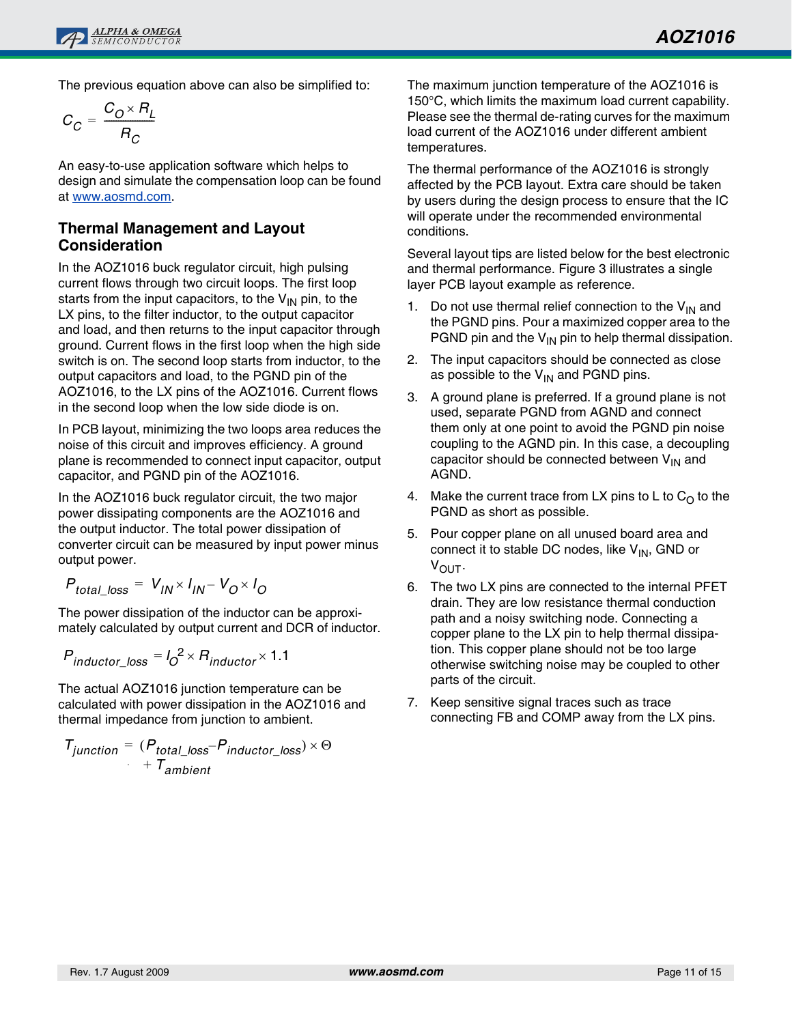The previous equation above can also be simplified to:

$$
C_C = \frac{C_O \times R_L}{R_C}
$$

An easy-to-use application software which helps to design and simulate the compensation loop can be found at [www.aosmd.com](http://www.aosmd.com).

### **Thermal Management and Layout Consideration**

In the AOZ1016 buck regulator circuit, high pulsing current flows through two circuit loops. The first loop starts from the input capacitors, to the  $V_{IN}$  pin, to the LX pins, to the filter inductor, to the output capacitor and load, and then returns to the input capacitor through ground. Current flows in the first loop when the high side switch is on. The second loop starts from inductor, to the output capacitors and load, to the PGND pin of the AOZ1016, to the LX pins of the AOZ1016. Current flows in the second loop when the low side diode is on.

In PCB layout, minimizing the two loops area reduces the noise of this circuit and improves efficiency. A ground plane is recommended to connect input capacitor, output capacitor, and PGND pin of the AOZ1016.

In the AOZ1016 buck regulator circuit, the two major power dissipating components are the AOZ1016 and the output inductor. The total power dissipation of converter circuit can be measured by input power minus output power.

$$
P_{total\_loss} = V_{IN} \times I_{IN} - V_{O} \times I_{O}
$$

The power dissipation of the inductor can be approximately calculated by output current and DCR of inductor.

$$
P_{inductor\_loss} = I_0^2 \times R_{inductor} \times 1.1
$$

The actual AOZ1016 junction temperature can be calculated with power dissipation in the AOZ1016 and thermal impedance from junction to ambient.

 $T_{junction} = (P_{total\_loss} - P_{inductor\_loss}) \times \Theta$  $+T_{ambient}$ 

The maximum junction temperature of the AOZ1016 is 150°C, which limits the maximum load current capability. Please see the thermal de-rating curves for the maximum load current of the AOZ1016 under different ambient temperatures.

The thermal performance of the AOZ1016 is strongly affected by the PCB layout. Extra care should be taken by users during the design process to ensure that the IC will operate under the recommended environmental conditions.

Several layout tips are listed below for the best electronic and thermal performance. Figure 3 illustrates a single layer PCB layout example as reference.

- 1. Do not use thermal relief connection to the  $V_{IN}$  and the PGND pins. Pour a maximized copper area to the PGND pin and the  $V_{IN}$  pin to help thermal dissipation.
- 2. The input capacitors should be connected as close as possible to the  $V_{IN}$  and PGND pins.
- 3. A ground plane is preferred. If a ground plane is not used, separate PGND from AGND and connect them only at one point to avoid the PGND pin noise coupling to the AGND pin. In this case, a decoupling capacitor should be connected between  $V_{IN}$  and AGND.
- 4. Make the current trace from LX pins to L to  $C<sub>O</sub>$  to the PGND as short as possible.
- 5. Pour copper plane on all unused board area and connect it to stable DC nodes, like  $V_{IN}$ , GND or VOUT.
- 6. The two LX pins are connected to the internal PFET drain. They are low resistance thermal conduction path and a noisy switching node. Connecting a copper plane to the LX pin to help thermal dissipation. This copper plane should not be too large otherwise switching noise may be coupled to other parts of the circuit.
- 7. Keep sensitive signal traces such as trace connecting FB and COMP away from the LX pins.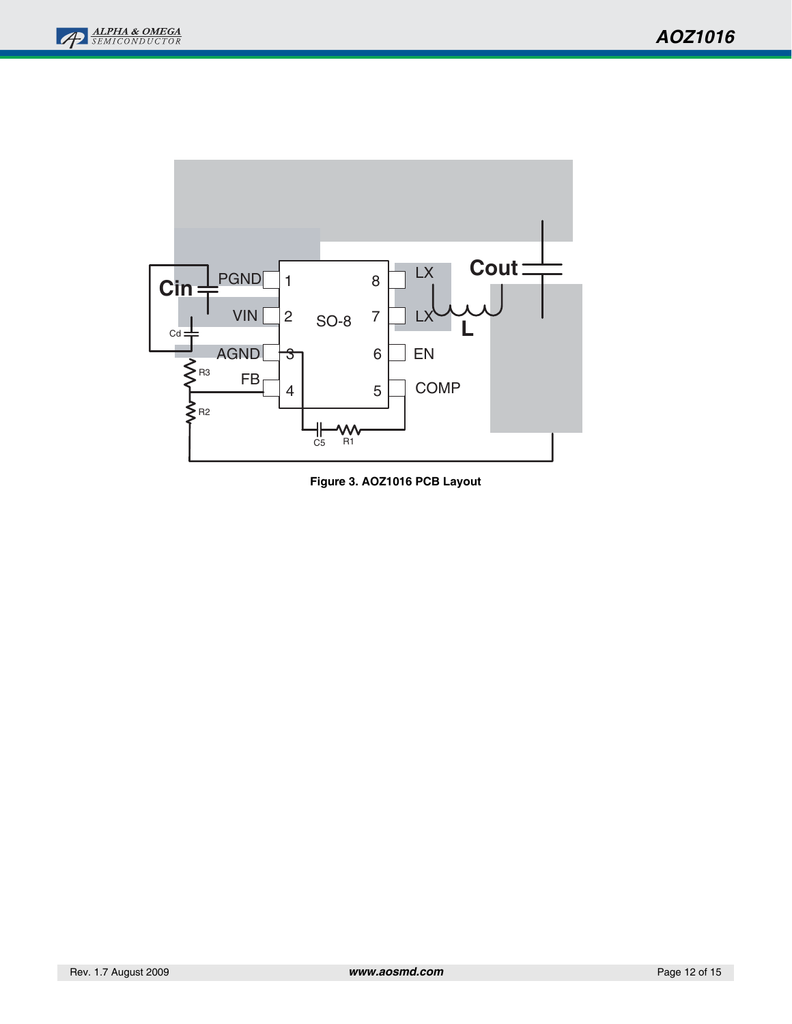



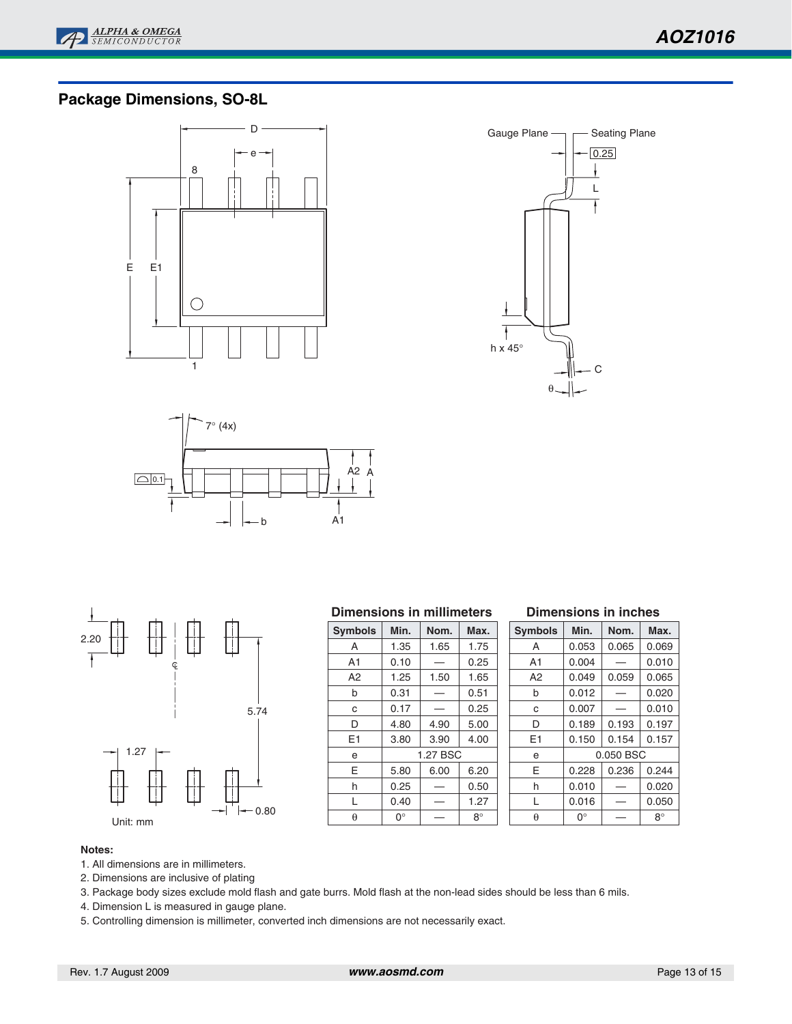

## **Package Dimensions, SO-8L**









#### **Dimensions in millimeters**

| <b>Symbols</b> | Min. | Nom.     | Max. |
|----------------|------|----------|------|
| А              | 1.35 | 1.65     | 1.75 |
| A <sub>1</sub> | 0.10 |          | 0.25 |
| A <sub>2</sub> | 1.25 | 1.50     | 1.65 |
| b              | 0.31 |          | 0.51 |
| C              | 0.17 |          | 0.25 |
| D              | 4.80 | 4.90     | 5.00 |
| E1             | 3.80 | 3.90     | 4.00 |
| e              |      | 1.27 BSC |      |
| E              | 5.80 | 6.00     | 6.20 |
| h              | 0.25 |          | 0.50 |
| L              | 0.40 |          | 1.27 |
| θ              | 0°   |          | 8°   |

#### **Dimensions in inches**

| <b>Symbols</b> | Min.  | Nom.      | Max.        |
|----------------|-------|-----------|-------------|
| А              | 0.053 | 0.065     | 0.069       |
| A1             | 0.004 |           | 0.010       |
| А2             | 0.049 | 0.059     | 0.065       |
| b              | 0.012 |           | 0.020       |
| C              | 0.007 |           | 0.010       |
| D              | 0.189 | 0.193     | 0.197       |
| E <sub>1</sub> | 0.150 | 0.154     | 0.157       |
| e              |       | 0.050 BSC |             |
| E              | 0.228 | 0.236     | 0.244       |
| h              | 0.010 |           | 0.020       |
| L              | 0.016 |           | 0.050       |
| A              | ∩°    |           | $R^{\circ}$ |

#### **Notes:**

- 1. All dimensions are in millimeters.
- 2. Dimensions are inclusive of plating
- 3. Package body sizes exclude mold flash and gate burrs. Mold flash at the non-lead sides should be less than 6 mils.
- 4. Dimension L is measured in gauge plane.
- 5. Controlling dimension is millimeter, converted inch dimensions are not necessarily exact.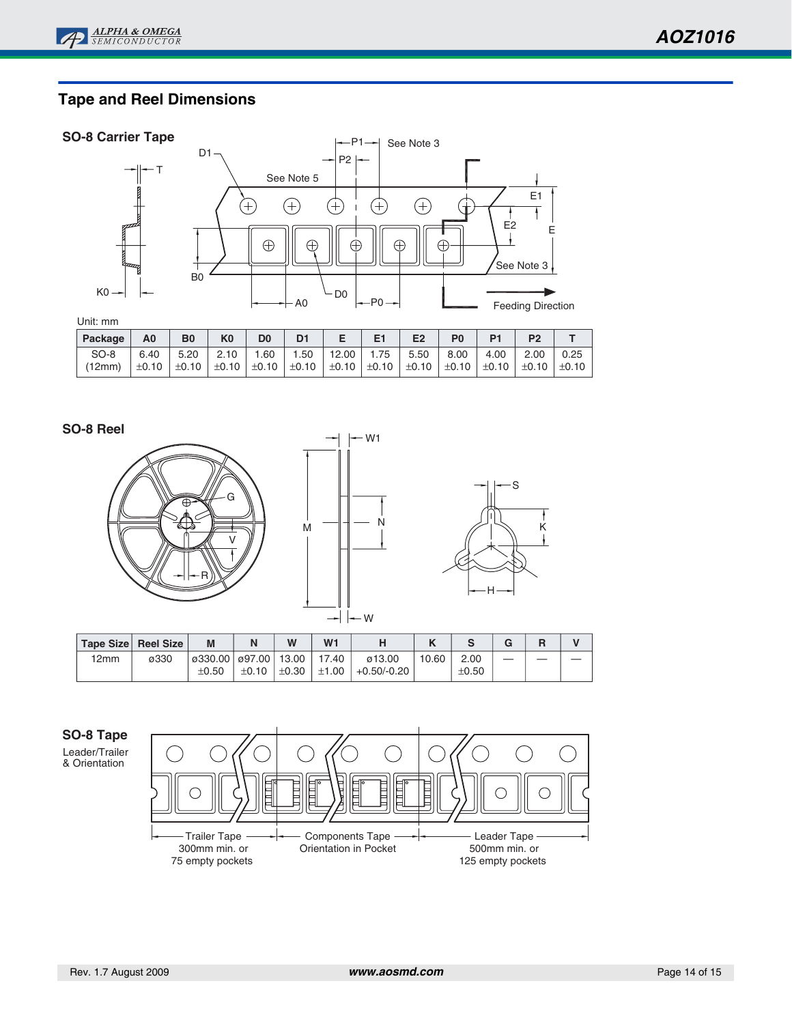# **Tape and Reel Dimensions**

#### **SO-8 Carrier Tape**



| Package | A0   | B <sub>0</sub> | K <sub>0</sub> | D <sub>0</sub> |                            | E <sub>1</sub> | E <sub>2</sub>                                                                                                                                 | P <sub>0</sub> |      |      |                      |
|---------|------|----------------|----------------|----------------|----------------------------|----------------|------------------------------------------------------------------------------------------------------------------------------------------------|----------------|------|------|----------------------|
| SO-8    | 6.40 | 5.20   2.10    |                | 1.60           | $\degree$ 1.50 $\degree$ . | 12.00   1.75   | 5.50 1                                                                                                                                         | 8.00           | 4.00 | 2.00 | $\binom{0.25}{0.25}$ |
| (12mm)  |      |                |                |                |                            |                | $\pm 0.10$ $\pm 0.10$ $\pm 0.10$ $\pm 0.10$ $\pm 0.10$ $\pm 0.10$ $\pm 0.10$ $\pm 0.10$ $\pm 0.10$ $\pm 0.10$ $\pm 0.10$ $\pm 0.10$ $\pm 0.10$ |                |      |      |                      |

#### **SO-8 Reel**







|      | Tape Size Reel Size | M                                      | N     | W | W <sub>1</sub> |                                                 |       |                    |  |  |
|------|---------------------|----------------------------------------|-------|---|----------------|-------------------------------------------------|-------|--------------------|--|--|
| 12mm | ø330                | 0330.00 097.00 13.00 17.40 <br>$+0.50$ | ±0.10 |   |                | ø13.00<br>$\pm 0.30$   $\pm 1.00$   +0.50/-0.20 | 10.60 | 2.00<br>$\pm 0.50$ |  |  |
|      |                     |                                        |       |   |                |                                                 |       |                    |  |  |

# **SO-8 Tape**

Leader/Trailer & Orientation